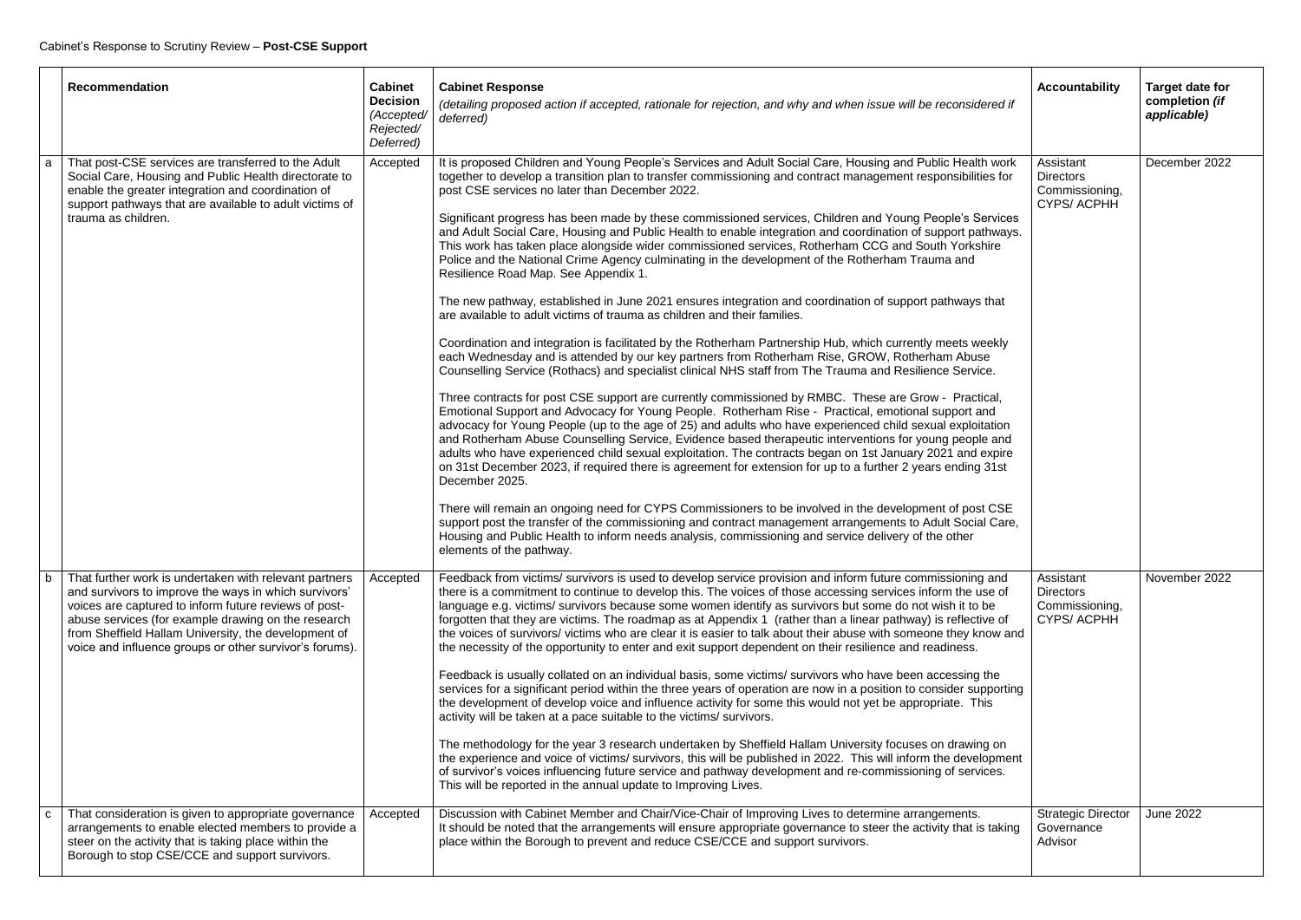| <b>Recommendation</b>                                                                                                                                                                                                                                                                                                                              | <b>Cabinet</b><br><b>Decision</b><br>(Accepted/<br>Rejected/<br>Deferred) | <b>Cabinet Response</b><br>(detailing proposed action if accepted, rationale for rejection, and why and when issue will be reconsidered if<br>deferred)                                                                                                                                                                                                                                                                                                                                                                                                                                                                                                                                                                                                                                                                                                                                                                                                                                                                                                                                                                                                                                                                                                                                                                                                                                                                                                                                                                                                                                                                                                                                                                                                                                                                                                                                                                                                                                                                                                                                                                                                                                                                                                                                                               | <b>Accountability</b>                                                | <b>Target date for</b><br>completion (if<br>applicable) |
|----------------------------------------------------------------------------------------------------------------------------------------------------------------------------------------------------------------------------------------------------------------------------------------------------------------------------------------------------|---------------------------------------------------------------------------|-----------------------------------------------------------------------------------------------------------------------------------------------------------------------------------------------------------------------------------------------------------------------------------------------------------------------------------------------------------------------------------------------------------------------------------------------------------------------------------------------------------------------------------------------------------------------------------------------------------------------------------------------------------------------------------------------------------------------------------------------------------------------------------------------------------------------------------------------------------------------------------------------------------------------------------------------------------------------------------------------------------------------------------------------------------------------------------------------------------------------------------------------------------------------------------------------------------------------------------------------------------------------------------------------------------------------------------------------------------------------------------------------------------------------------------------------------------------------------------------------------------------------------------------------------------------------------------------------------------------------------------------------------------------------------------------------------------------------------------------------------------------------------------------------------------------------------------------------------------------------------------------------------------------------------------------------------------------------------------------------------------------------------------------------------------------------------------------------------------------------------------------------------------------------------------------------------------------------------------------------------------------------------------------------------------------------|----------------------------------------------------------------------|---------------------------------------------------------|
| That post-CSE services are transferred to the Adult<br>Social Care, Housing and Public Health directorate to<br>enable the greater integration and coordination of<br>support pathways that are available to adult victims of<br>trauma as children.                                                                                               | Accepted                                                                  | It is proposed Children and Young People's Services and Adult Social Care, Housing and Public Health work<br>together to develop a transition plan to transfer commissioning and contract management responsibilities for<br>post CSE services no later than December 2022.<br>Significant progress has been made by these commissioned services, Children and Young People's Services<br>and Adult Social Care, Housing and Public Health to enable integration and coordination of support pathways.<br>This work has taken place alongside wider commissioned services, Rotherham CCG and South Yorkshire<br>Police and the National Crime Agency culminating in the development of the Rotherham Trauma and<br>Resilience Road Map. See Appendix 1.<br>The new pathway, established in June 2021 ensures integration and coordination of support pathways that<br>are available to adult victims of trauma as children and their families.<br>Coordination and integration is facilitated by the Rotherham Partnership Hub, which currently meets weekly<br>each Wednesday and is attended by our key partners from Rotherham Rise, GROW, Rotherham Abuse<br>Counselling Service (Rothacs) and specialist clinical NHS staff from The Trauma and Resilience Service.<br>Three contracts for post CSE support are currently commissioned by RMBC. These are Grow - Practical,<br>Emotional Support and Advocacy for Young People. Rotherham Rise - Practical, emotional support and<br>advocacy for Young People (up to the age of 25) and adults who have experienced child sexual exploitation<br>and Rotherham Abuse Counselling Service, Evidence based therapeutic interventions for young people and<br>adults who have experienced child sexual exploitation. The contracts began on 1st January 2021 and expire<br>on 31st December 2023, if required there is agreement for extension for up to a further 2 years ending 31st<br>December 2025.<br>There will remain an ongoing need for CYPS Commissioners to be involved in the development of post CSE<br>support post the transfer of the commissioning and contract management arrangements to Adult Social Care,<br>Housing and Public Health to inform needs analysis, commissioning and service delivery of the other<br>elements of the pathway. | Assistant<br><b>Directors</b><br>Commissioning,<br><b>CYPS/ACPHH</b> | December 2022                                           |
| That further work is undertaken with relevant partners<br>and survivors to improve the ways in which survivors'<br>voices are captured to inform future reviews of post-<br>abuse services (for example drawing on the research<br>from Sheffield Hallam University, the development of<br>voice and influence groups or other survivor's forums). | Accepted                                                                  | Feedback from victims/ survivors is used to develop service provision and inform future commissioning and<br>there is a commitment to continue to develop this. The voices of those accessing services inform the use of<br>language e.g. victims/ survivors because some women identify as survivors but some do not wish it to be<br>forgotten that they are victims. The roadmap as at Appendix 1 (rather than a linear pathway) is reflective of<br>the voices of survivors/victims who are clear it is easier to talk about their abuse with someone they know and<br>the necessity of the opportunity to enter and exit support dependent on their resilience and readiness.<br>Feedback is usually collated on an individual basis, some victims/ survivors who have been accessing the<br>services for a significant period within the three years of operation are now in a position to consider supporting<br>the development of develop voice and influence activity for some this would not yet be appropriate. This<br>activity will be taken at a pace suitable to the victims/ survivors.<br>The methodology for the year 3 research undertaken by Sheffield Hallam University focuses on drawing on<br>the experience and voice of victims/ survivors, this will be published in 2022. This will inform the development<br>of survivor's voices influencing future service and pathway development and re-commissioning of services.<br>This will be reported in the annual update to Improving Lives.                                                                                                                                                                                                                                                                                                                                                                                                                                                                                                                                                                                                                                                                                                                                                                                                | Assistant<br><b>Directors</b><br>Commissioning,<br><b>CYPS/ACPHH</b> | November 2022                                           |
| That consideration is given to appropriate governance<br>arrangements to enable elected members to provide a<br>steer on the activity that is taking place within the<br>Borough to stop CSE/CCE and support survivors.                                                                                                                            | Accepted                                                                  | Discussion with Cabinet Member and Chair/Vice-Chair of Improving Lives to determine arrangements.<br>It should be noted that the arrangements will ensure appropriate governance to steer the activity that is taking<br>place within the Borough to prevent and reduce CSE/CCE and support survivors.                                                                                                                                                                                                                                                                                                                                                                                                                                                                                                                                                                                                                                                                                                                                                                                                                                                                                                                                                                                                                                                                                                                                                                                                                                                                                                                                                                                                                                                                                                                                                                                                                                                                                                                                                                                                                                                                                                                                                                                                                | <b>Strategic Director</b><br>Governance<br>Advisor                   | <b>June 2022</b>                                        |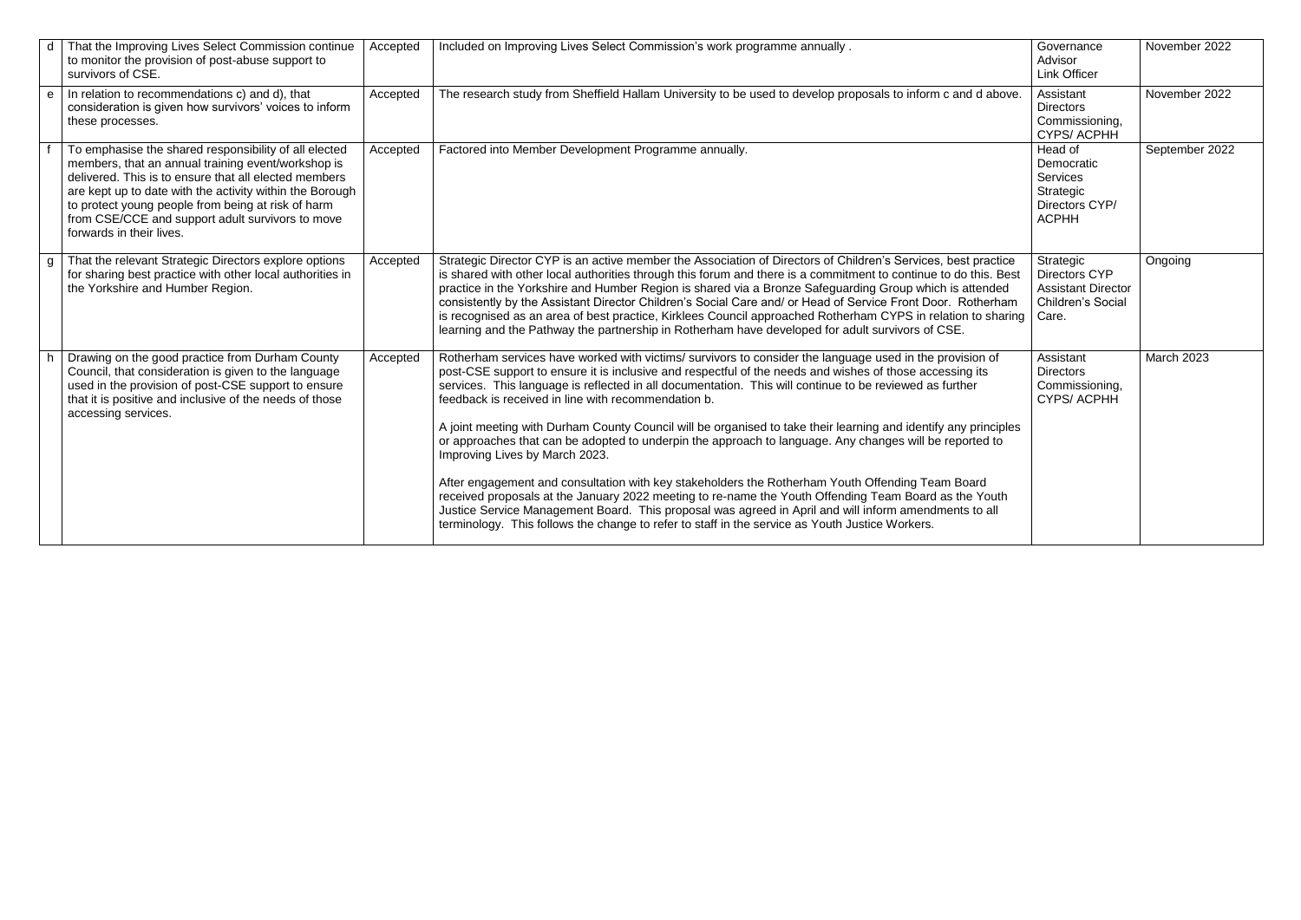| <sub>d</sub> | That the Improving Lives Select Commission continue<br>to monitor the provision of post-abuse support to<br>survivors of CSE.                                                                                                                                                                                                                                          | Accepted | Included on Improving Lives Select Commission's work programme annually.                                                                                                                                                                                                                                                                                                                                                                                                                                                                                                                                                                                                                                                                                                                                                                                                                                                                                                                                                                                                        | Governance<br>Advisor<br><b>Link Officer</b>                                          | November 2022  |
|--------------|------------------------------------------------------------------------------------------------------------------------------------------------------------------------------------------------------------------------------------------------------------------------------------------------------------------------------------------------------------------------|----------|---------------------------------------------------------------------------------------------------------------------------------------------------------------------------------------------------------------------------------------------------------------------------------------------------------------------------------------------------------------------------------------------------------------------------------------------------------------------------------------------------------------------------------------------------------------------------------------------------------------------------------------------------------------------------------------------------------------------------------------------------------------------------------------------------------------------------------------------------------------------------------------------------------------------------------------------------------------------------------------------------------------------------------------------------------------------------------|---------------------------------------------------------------------------------------|----------------|
| $\mathbf{e}$ | In relation to recommendations c) and d), that<br>consideration is given how survivors' voices to inform<br>these processes.                                                                                                                                                                                                                                           | Accepted | The research study from Sheffield Hallam University to be used to develop proposals to inform c and d above.                                                                                                                                                                                                                                                                                                                                                                                                                                                                                                                                                                                                                                                                                                                                                                                                                                                                                                                                                                    | Assistant<br><b>Directors</b><br>Commissioning,<br><b>CYPS/ACPHH</b>                  | November 2022  |
|              | To emphasise the shared responsibility of all elected<br>members, that an annual training event/workshop is<br>delivered. This is to ensure that all elected members<br>are kept up to date with the activity within the Borough<br>to protect young people from being at risk of harm<br>from CSE/CCE and support adult survivors to move<br>forwards in their lives. | Accepted | Factored into Member Development Programme annually.                                                                                                                                                                                                                                                                                                                                                                                                                                                                                                                                                                                                                                                                                                                                                                                                                                                                                                                                                                                                                            | Head of<br>Democratic<br>Services<br>Strategic<br>Directors CYP/<br><b>ACPHH</b>      | September 2022 |
|              | That the relevant Strategic Directors explore options<br>for sharing best practice with other local authorities in<br>the Yorkshire and Humber Region.                                                                                                                                                                                                                 | Accepted | Strategic Director CYP is an active member the Association of Directors of Children's Services, best practice<br>is shared with other local authorities through this forum and there is a commitment to continue to do this. Best<br>practice in the Yorkshire and Humber Region is shared via a Bronze Safeguarding Group which is attended<br>consistently by the Assistant Director Children's Social Care and/ or Head of Service Front Door. Rotherham<br>is recognised as an area of best practice, Kirklees Council approached Rotherham CYPS in relation to sharing<br>learning and the Pathway the partnership in Rotherham have developed for adult survivors of CSE.                                                                                                                                                                                                                                                                                                                                                                                                 | Strategic<br>Directors CYP<br><b>Assistant Director</b><br>Children's Social<br>Care. | Ongoing        |
|              | Drawing on the good practice from Durham County<br>Council, that consideration is given to the language<br>used in the provision of post-CSE support to ensure<br>that it is positive and inclusive of the needs of those<br>accessing services.                                                                                                                       | Accepted | Rotherham services have worked with victims/ survivors to consider the language used in the provision of<br>post-CSE support to ensure it is inclusive and respectful of the needs and wishes of those accessing its<br>services. This language is reflected in all documentation. This will continue to be reviewed as further<br>feedback is received in line with recommendation b.<br>A joint meeting with Durham County Council will be organised to take their learning and identify any principles<br>or approaches that can be adopted to underpin the approach to language. Any changes will be reported to<br>Improving Lives by March 2023.<br>After engagement and consultation with key stakeholders the Rotherham Youth Offending Team Board<br>received proposals at the January 2022 meeting to re-name the Youth Offending Team Board as the Youth<br>Justice Service Management Board. This proposal was agreed in April and will inform amendments to all<br>terminology. This follows the change to refer to staff in the service as Youth Justice Workers. | Assistant<br><b>Directors</b><br>Commissioning,<br><b>CYPS/ACPHH</b>                  | March 2023     |